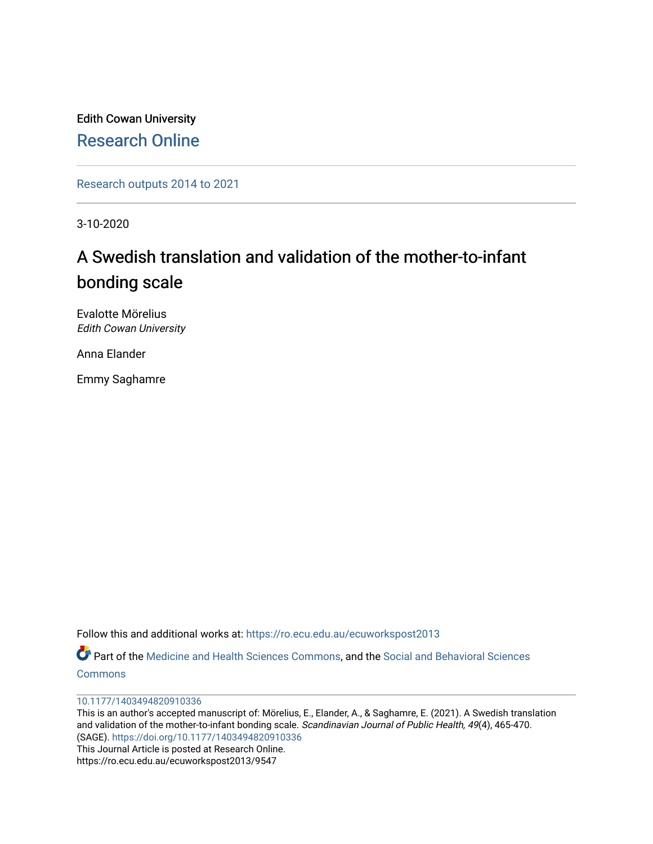Edith Cowan University [Research Online](https://ro.ecu.edu.au/) 

[Research outputs 2014 to 2021](https://ro.ecu.edu.au/ecuworkspost2013) 

3-10-2020

# A Swedish translation and validation of the mother-to-infant bonding scale

Evalotte Mörelius Edith Cowan University

Anna Elander

Emmy Saghamre

Follow this and additional works at: [https://ro.ecu.edu.au/ecuworkspost2013](https://ro.ecu.edu.au/ecuworkspost2013?utm_source=ro.ecu.edu.au%2Fecuworkspost2013%2F9547&utm_medium=PDF&utm_campaign=PDFCoverPages) 

Part of the [Medicine and Health Sciences Commons,](http://network.bepress.com/hgg/discipline/648?utm_source=ro.ecu.edu.au%2Fecuworkspost2013%2F9547&utm_medium=PDF&utm_campaign=PDFCoverPages) and the [Social and Behavioral Sciences](http://network.bepress.com/hgg/discipline/316?utm_source=ro.ecu.edu.au%2Fecuworkspost2013%2F9547&utm_medium=PDF&utm_campaign=PDFCoverPages) **[Commons](http://network.bepress.com/hgg/discipline/316?utm_source=ro.ecu.edu.au%2Fecuworkspost2013%2F9547&utm_medium=PDF&utm_campaign=PDFCoverPages)** 

#### [10.1177/1403494820910336](http://dx.doi.org/10.1177/1403494820910336)

This is an author's accepted manuscript of: Mörelius, E., Elander, A., & Saghamre, E. (2021). A Swedish translation and validation of the mother-to-infant bonding scale. Scandinavian Journal of Public Health, 49(4), 465-470. (SAGE).<https://doi.org/10.1177/1403494820910336> This Journal Article is posted at Research Online. https://ro.ecu.edu.au/ecuworkspost2013/9547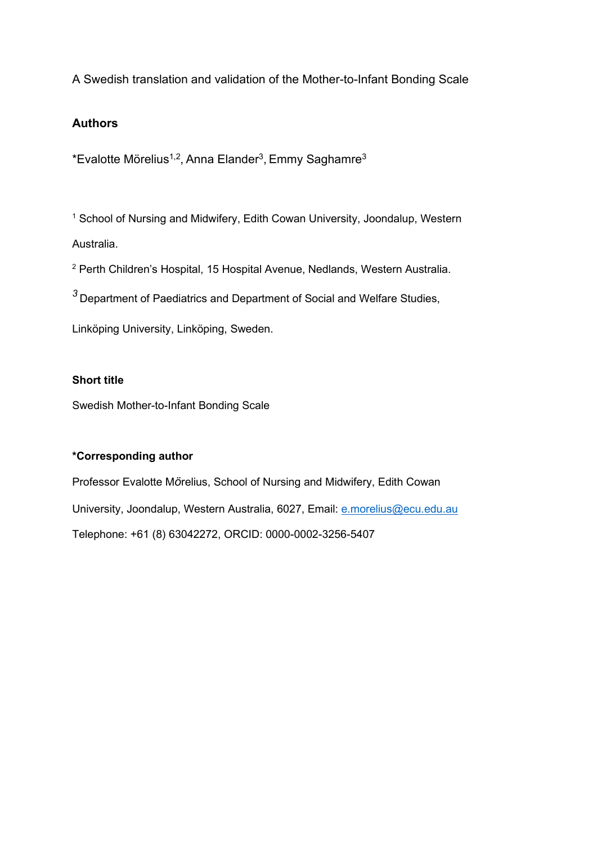A Swedish translation and validation of the Mother-to-Infant Bonding Scale

## **Authors**

 $*$ Evalotte Mörelius<sup>1,2</sup>, Anna Elander<sup>3</sup>, Emmy Saghamre<sup>3</sup>

<sup>1</sup> School of Nursing and Midwifery, Edith Cowan University, Joondalup, Western Australia.

<sup>2</sup> Perth Children's Hospital, 15 Hospital Avenue, Nedlands, Western Australia.

*<sup>3</sup>* Department of Paediatrics and Department of Social and Welfare Studies,

Linköping University, Linköping, Sweden.

## **Short title**

Swedish Mother-to-Infant Bonding Scale

## **\*Corresponding author**

Professor Evalotte M*ö*relius, School of Nursing and Midwifery, Edith Cowan University, Joondalup, Western Australia, 6027, Email: [e.morelius@ecu.edu.au](mailto:e.morelius@ecu.edu.au) Telephone: +61 (8) 63042272, ORCID: [0000-0002-3256-5407](http://orcid.org/0000-0002-3256-5407)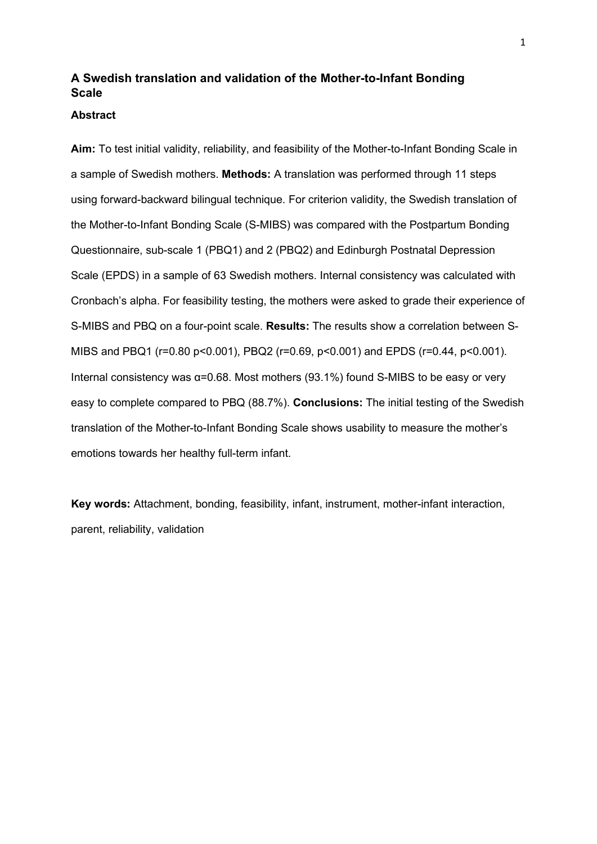# **A Swedish translation and validation of the Mother-to-Infant Bonding Scale**

#### **Abstract**

**Aim:** To test initial validity, reliability, and feasibility of the Mother-to-Infant Bonding Scale in a sample of Swedish mothers. **Methods:** A translation was performed through 11 steps using forward-backward bilingual technique. For criterion validity, the Swedish translation of the Mother-to-Infant Bonding Scale (S-MIBS) was compared with the Postpartum Bonding Questionnaire, sub-scale 1 (PBQ1) and 2 (PBQ2) and Edinburgh Postnatal Depression Scale (EPDS) in a sample of 63 Swedish mothers. Internal consistency was calculated with Cronbach's alpha. For feasibility testing, the mothers were asked to grade their experience of S-MIBS and PBQ on a four-point scale. **Results:** The results show a correlation between S-MIBS and PBQ1 (r=0.80 p<0.001), PBQ2 (r=0.69, p<0.001) and EPDS (r=0.44, p<0.001). Internal consistency was α=0.68. Most mothers (93.1%) found S-MIBS to be easy or very easy to complete compared to PBQ (88.7%). **Conclusions:** The initial testing of the Swedish translation of the Mother-to-Infant Bonding Scale shows usability to measure the mother's emotions towards her healthy full-term infant.

**Key words:** Attachment, bonding, feasibility, infant, instrument, mother-infant interaction, parent, reliability, validation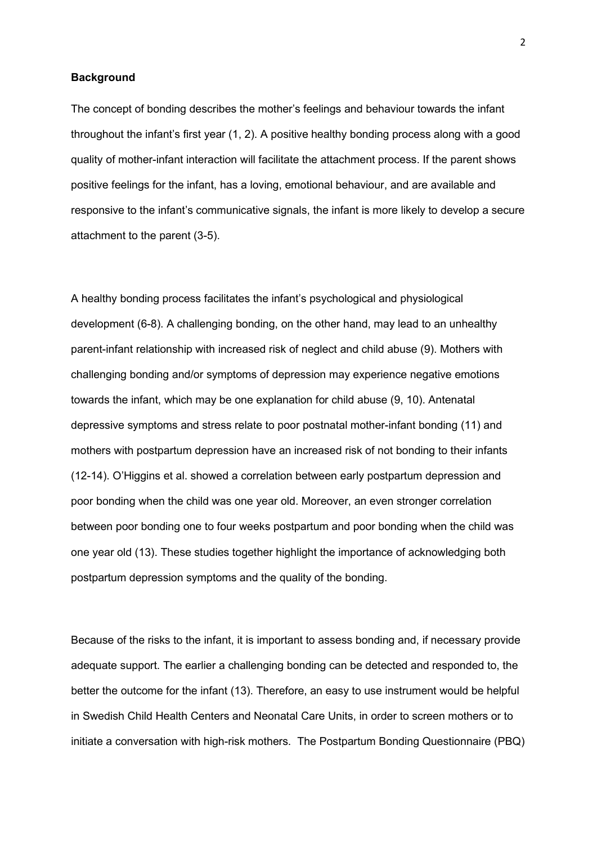#### **Background**

The concept of bonding describes the mother's feelings and behaviour towards the infant throughout the infant's first year (1, 2). A positive healthy bonding process along with a good quality of mother-infant interaction will facilitate the attachment process. If the parent shows positive feelings for the infant, has a loving, emotional behaviour, and are available and responsive to the infant's communicative signals, the infant is more likely to develop a secure attachment to the parent (3-5).

A healthy bonding process facilitates the infant's psychological and physiological development (6-8). A challenging bonding, on the other hand, may lead to an unhealthy parent-infant relationship with increased risk of neglect and child abuse (9). Mothers with challenging bonding and/or symptoms of depression may experience negative emotions towards the infant, which may be one explanation for child abuse (9, 10). Antenatal depressive symptoms and stress relate to poor postnatal mother-infant bonding (11) and mothers with postpartum depression have an increased risk of not bonding to their infants (12-14). O'Higgins et al. showed a correlation between early postpartum depression and poor bonding when the child was one year old. Moreover, an even stronger correlation between poor bonding one to four weeks postpartum and poor bonding when the child was one year old (13). These studies together highlight the importance of acknowledging both postpartum depression symptoms and the quality of the bonding.

Because of the risks to the infant, it is important to assess bonding and, if necessary provide adequate support. The earlier a challenging bonding can be detected and responded to, the better the outcome for the infant (13). Therefore, an easy to use instrument would be helpful in Swedish Child Health Centers and Neonatal Care Units, in order to screen mothers or to initiate a conversation with high-risk mothers. The Postpartum Bonding Questionnaire (PBQ)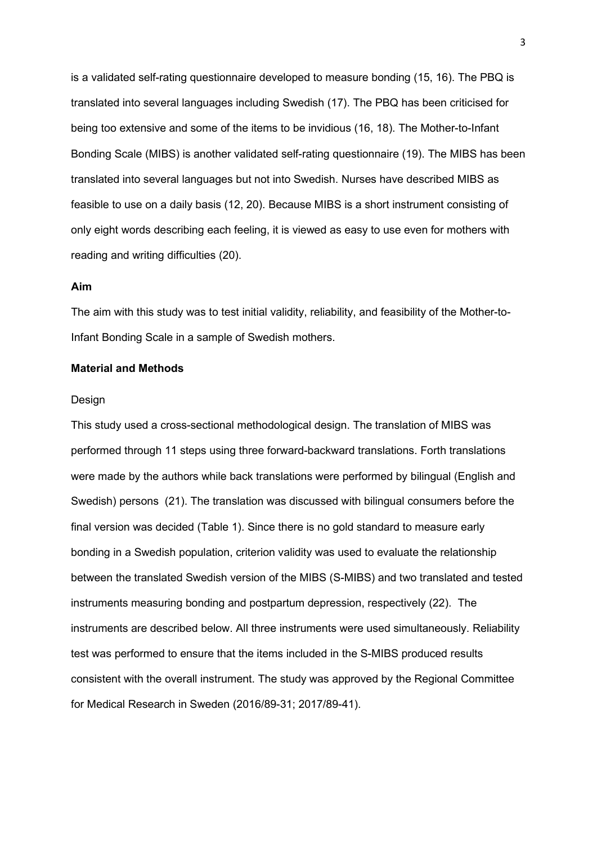is a validated self-rating questionnaire developed to measure bonding (15, 16). The PBQ is translated into several languages including Swedish (17). The PBQ has been criticised for being too extensive and some of the items to be invidious (16, 18). The Mother-to-Infant Bonding Scale (MIBS) is another validated self-rating questionnaire (19). The MIBS has been translated into several languages but not into Swedish. Nurses have described MIBS as feasible to use on a daily basis (12, 20). Because MIBS is a short instrument consisting of only eight words describing each feeling, it is viewed as easy to use even for mothers with reading and writing difficulties (20).

#### **Aim**

The aim with this study was to test initial validity, reliability, and feasibility of the Mother-to-Infant Bonding Scale in a sample of Swedish mothers.

#### **Material and Methods**

#### **Design**

This study used a cross-sectional methodological design. The translation of MIBS was performed through 11 steps using three forward-backward translations. Forth translations were made by the authors while back translations were performed by bilingual (English and Swedish) persons (21). The translation was discussed with bilingual consumers before the final version was decided (Table 1). Since there is no gold standard to measure early bonding in a Swedish population, criterion validity was used to evaluate the relationship between the translated Swedish version of the MIBS (S-MIBS) and two translated and tested instruments measuring bonding and postpartum depression, respectively (22). The instruments are described below. All three instruments were used simultaneously. Reliability test was performed to ensure that the items included in the S-MIBS produced results consistent with the overall instrument. The study was approved by the Regional Committee for Medical Research in Sweden (2016/89-31; 2017/89-41).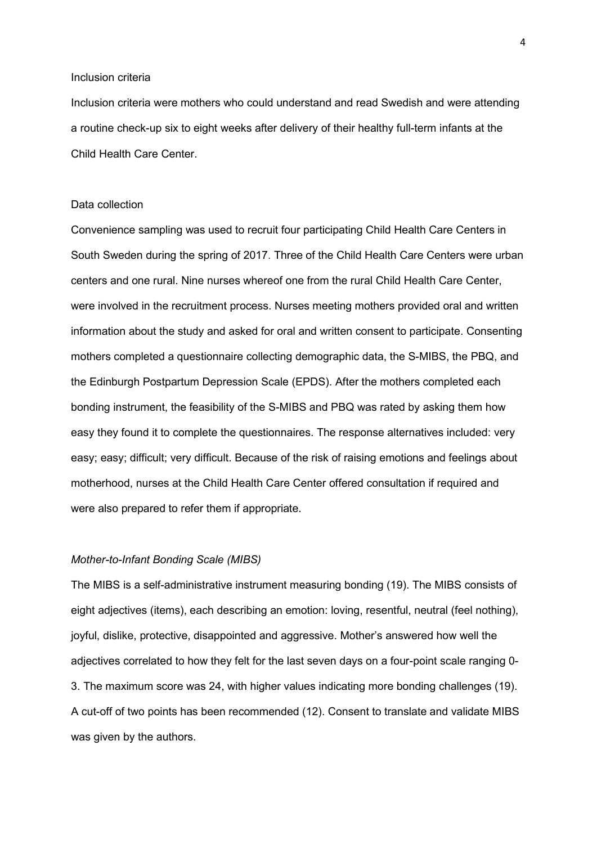#### Inclusion criteria

Inclusion criteria were mothers who could understand and read Swedish and were attending a routine check-up six to eight weeks after delivery of their healthy full-term infants at the Child Health Care Center.

#### Data collection

Convenience sampling was used to recruit four participating Child Health Care Centers in South Sweden during the spring of 2017. Three of the Child Health Care Centers were urban centers and one rural. Nine nurses whereof one from the rural Child Health Care Center, were involved in the recruitment process. Nurses meeting mothers provided oral and written information about the study and asked for oral and written consent to participate. Consenting mothers completed a questionnaire collecting demographic data, the S-MIBS, the PBQ, and the Edinburgh Postpartum Depression Scale (EPDS). After the mothers completed each bonding instrument, the feasibility of the S-MIBS and PBQ was rated by asking them how easy they found it to complete the questionnaires. The response alternatives included: very easy; easy; difficult; very difficult. Because of the risk of raising emotions and feelings about motherhood, nurses at the Child Health Care Center offered consultation if required and were also prepared to refer them if appropriate.

#### *Mother-to-Infant Bonding Scale (MIBS)*

The MIBS is a self-administrative instrument measuring bonding (19). The MIBS consists of eight adjectives (items), each describing an emotion: loving, resentful, neutral (feel nothing), joyful, dislike, protective, disappointed and aggressive. Mother's answered how well the adjectives correlated to how they felt for the last seven days on a four-point scale ranging 0- 3. The maximum score was 24, with higher values indicating more bonding challenges (19). A cut-off of two points has been recommended (12). Consent to translate and validate MIBS was given by the authors.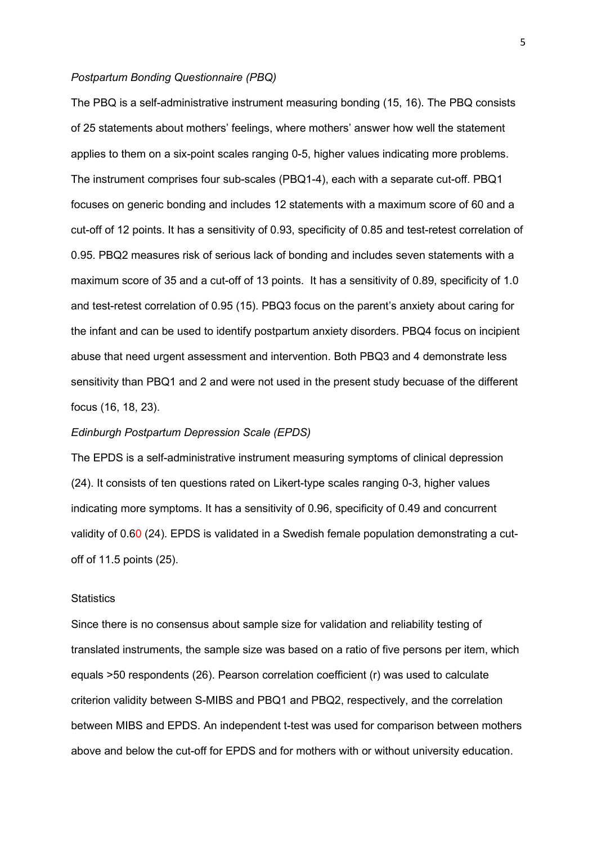#### *Postpartum Bonding Questionnaire (PBQ)*

The PBQ is a self-administrative instrument measuring bonding (15, 16). The PBQ consists of 25 statements about mothers' feelings, where mothers' answer how well the statement applies to them on a six-point scales ranging 0-5, higher values indicating more problems. The instrument comprises four sub-scales (PBQ1-4), each with a separate cut-off. PBQ1 focuses on generic bonding and includes 12 statements with a maximum score of 60 and a cut-off of 12 points. It has a sensitivity of 0.93, specificity of 0.85 and test-retest correlation of 0.95. PBQ2 measures risk of serious lack of bonding and includes seven statements with a maximum score of 35 and a cut-off of 13 points. It has a sensitivity of 0.89, specificity of 1.0 and test-retest correlation of 0.95 (15). PBQ3 focus on the parent's anxiety about caring for the infant and can be used to identify postpartum anxiety disorders. PBQ4 focus on incipient abuse that need urgent assessment and intervention. Both PBQ3 and 4 demonstrate less sensitivity than PBQ1 and 2 and were not used in the present study becuase of the different focus (16, 18, 23).

#### *Edinburgh Postpartum Depression Scale (EPDS)*

The EPDS is a self-administrative instrument measuring symptoms of clinical depression (24). It consists of ten questions rated on Likert-type scales ranging 0-3, higher values indicating more symptoms. It has a sensitivity of 0.96, specificity of 0.49 and concurrent validity of 0.60 (24). EPDS is validated in a Swedish female population demonstrating a cutoff of 11.5 points (25).

#### **Statistics**

Since there is no consensus about sample size for validation and reliability testing of translated instruments, the sample size was based on a ratio of five persons per item, which equals >50 respondents (26). Pearson correlation coefficient (r) was used to calculate criterion validity between S-MIBS and PBQ1 and PBQ2, respectively, and the correlation between MIBS and EPDS. An independent t-test was used for comparison between mothers above and below the cut-off for EPDS and for mothers with or without university education.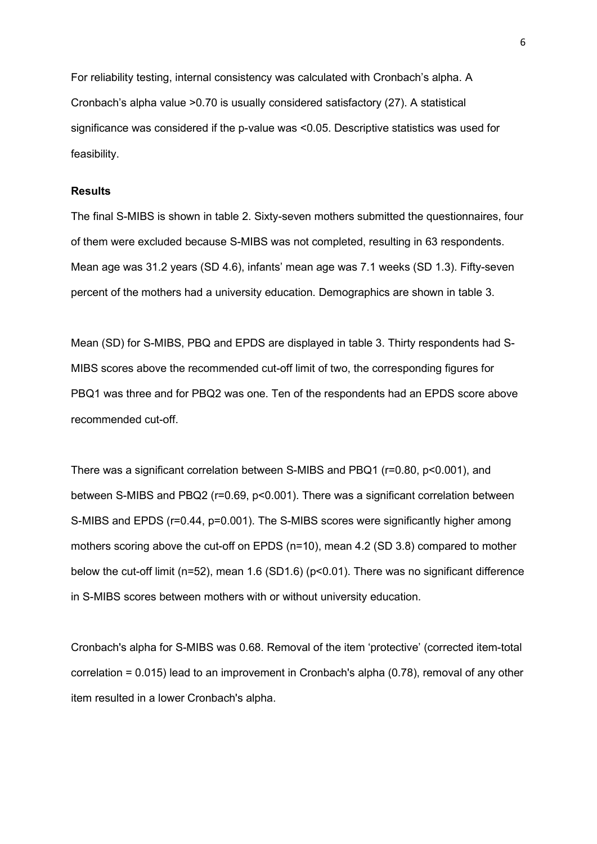For reliability testing, internal consistency was calculated with Cronbach's alpha. A Cronbach's alpha value >0.70 is usually considered satisfactory (27). A statistical significance was considered if the p-value was <0.05. Descriptive statistics was used for feasibility.

#### **Results**

The final S-MIBS is shown in table 2. Sixty-seven mothers submitted the questionnaires, four of them were excluded because S-MIBS was not completed, resulting in 63 respondents. Mean age was 31.2 years (SD 4.6), infants' mean age was 7.1 weeks (SD 1.3). Fifty-seven percent of the mothers had a university education. Demographics are shown in table 3.

Mean (SD) for S-MIBS, PBQ and EPDS are displayed in table 3. Thirty respondents had S-MIBS scores above the recommended cut-off limit of two, the corresponding figures for PBQ1 was three and for PBQ2 was one. Ten of the respondents had an EPDS score above recommended cut-off.

There was a significant correlation between S-MIBS and PBQ1 (r=0.80, p<0.001), and between S-MIBS and PBQ2 (r=0.69, p<0.001). There was a significant correlation between S-MIBS and EPDS (r=0.44, p=0.001). The S-MIBS scores were significantly higher among mothers scoring above the cut-off on EPDS (n=10), mean 4.2 (SD 3.8) compared to mother below the cut-off limit (n=52), mean 1.6 (SD1.6) (p<0.01). There was no significant difference in S-MIBS scores between mothers with or without university education.

Cronbach's alpha for S-MIBS was 0.68. Removal of the item 'protective' (corrected item-total correlation = 0.015) lead to an improvement in Cronbach's alpha (0.78), removal of any other item resulted in a lower Cronbach's alpha.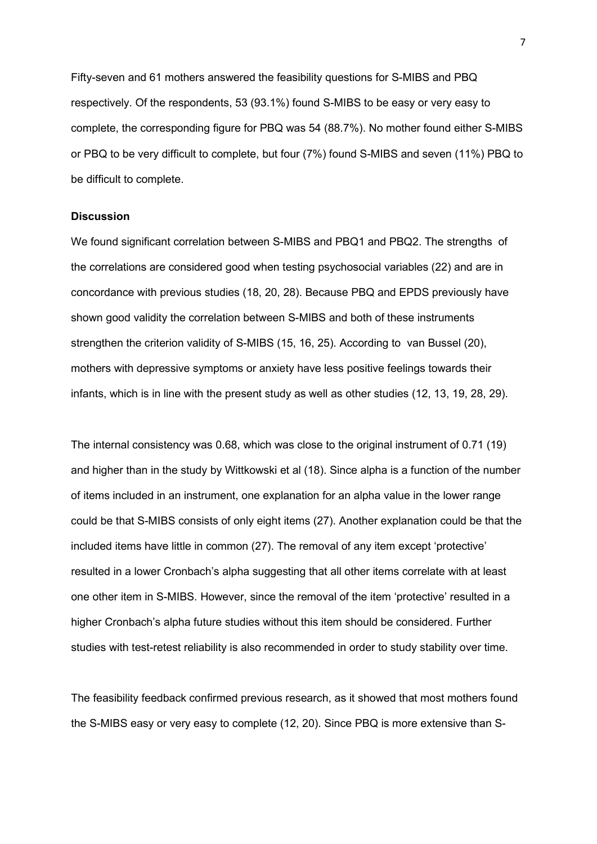Fifty-seven and 61 mothers answered the feasibility questions for S-MIBS and PBQ respectively. Of the respondents, 53 (93.1%) found S-MIBS to be easy or very easy to complete, the corresponding figure for PBQ was 54 (88.7%). No mother found either S-MIBS or PBQ to be very difficult to complete, but four (7%) found S-MIBS and seven (11%) PBQ to be difficult to complete.

#### **Discussion**

We found significant correlation between S-MIBS and PBQ1 and PBQ2. The strengths of the correlations are considered good when testing psychosocial variables (22) and are in concordance with previous studies (18, 20, 28). Because PBQ and EPDS previously have shown good validity the correlation between S-MIBS and both of these instruments strengthen the criterion validity of S-MIBS (15, 16, 25). According to van Bussel (20), mothers with depressive symptoms or anxiety have less positive feelings towards their infants, which is in line with the present study as well as other studies (12, 13, 19, 28, 29).

The internal consistency was 0.68, which was close to the original instrument of 0.71 (19) and higher than in the study by Wittkowski et al (18). Since alpha is a function of the number of items included in an instrument, one explanation for an alpha value in the lower range could be that S-MIBS consists of only eight items (27). Another explanation could be that the included items have little in common (27). The removal of any item except 'protective' resulted in a lower Cronbach's alpha suggesting that all other items correlate with at least one other item in S-MIBS. However, since the removal of the item 'protective' resulted in a higher Cronbach's alpha future studies without this item should be considered. Further studies with test-retest reliability is also recommended in order to study stability over time.

The feasibility feedback confirmed previous research, as it showed that most mothers found the S-MIBS easy or very easy to complete (12, 20). Since PBQ is more extensive than S-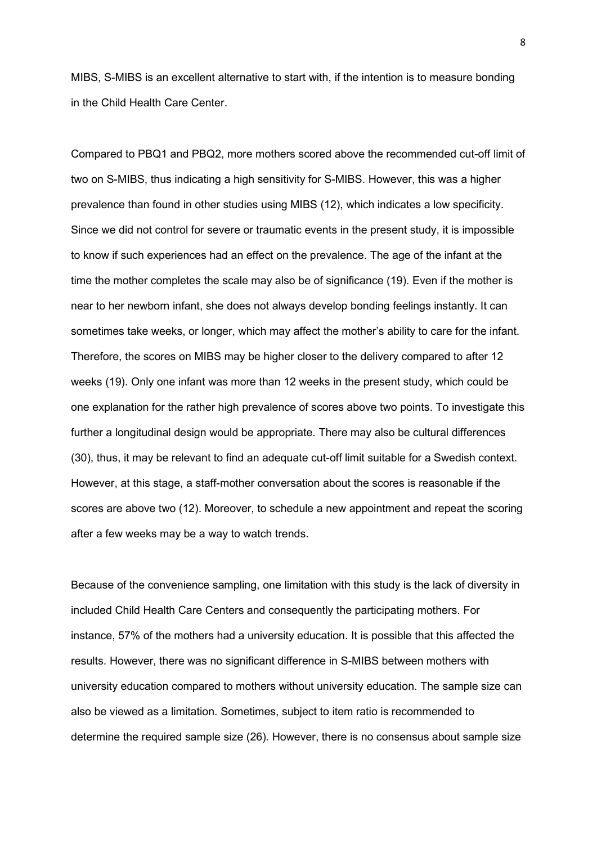MIBS, S-MIBS is an excellent alternative to start with, if the intention is to measure bonding in the Child Health Care Center.

Compared to PBQ1 and PBQ2, more mothers scored above the recommended cut-off limit of two on S-MIBS, thus indicating a high sensitivity for S-MIBS. However, this was a higher prevalence than found in other studies using MIBS (12), which indicates a low specificity. Since we did not control for severe or traumatic events in the present study, it is impossible to know if such experiences had an effect on the prevalence. The age of the infant at the time the mother completes the scale may also be of significance (19). Even if the mother is near to her newborn infant, she does not always develop bonding feelings instantly. It can sometimes take weeks, or longer, which may affect the mother's ability to care for the infant. Therefore, the scores on MIBS may be higher closer to the delivery compared to after 12 weeks (19). Only one infant was more than 12 weeks in the present study, which could be one explanation for the rather high prevalence of scores above two points. To investigate this further a longitudinal design would be appropriate. There may also be cultural differences (30), thus, it may be relevant to find an adequate cut-off limit suitable for a Swedish context. However, at this stage, a staff-mother conversation about the scores is reasonable if the scores are above two (12). Moreover, to schedule a new appointment and repeat the scoring after a few weeks may be a way to watch trends.

Because of the convenience sampling, one limitation with this study is the lack of diversity in included Child Health Care Centers and consequently the participating mothers. For instance, 57% of the mothers had a university education. It is possible that this affected the results. However, there was no significant difference in S-MIBS between mothers with university education compared to mothers without university education. The sample size can also be viewed as a limitation. Sometimes, subject to item ratio is recommended to determine the required sample size (26). However, there is no consensus about sample size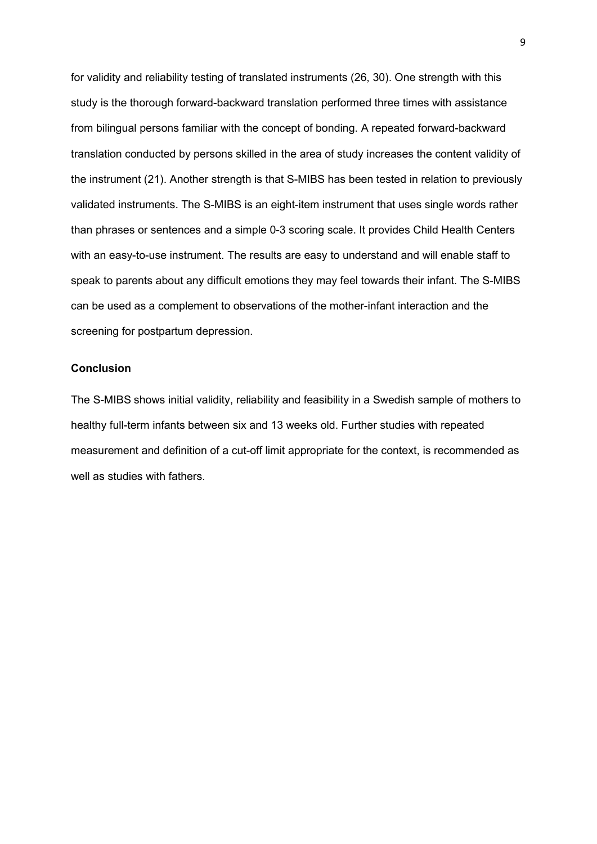for validity and reliability testing of translated instruments (26, 30). One strength with this study is the thorough forward-backward translation performed three times with assistance from bilingual persons familiar with the concept of bonding. A repeated forward-backward translation conducted by persons skilled in the area of study increases the content validity of the instrument (21). Another strength is that S-MIBS has been tested in relation to previously validated instruments. The S-MIBS is an eight-item instrument that uses single words rather than phrases or sentences and a simple 0-3 scoring scale. It provides Child Health Centers with an easy-to-use instrument. The results are easy to understand and will enable staff to speak to parents about any difficult emotions they may feel towards their infant. The S-MIBS can be used as a complement to observations of the mother-infant interaction and the screening for postpartum depression.

#### **Conclusion**

The S-MIBS shows initial validity, reliability and feasibility in a Swedish sample of mothers to healthy full-term infants between six and 13 weeks old. Further studies with repeated measurement and definition of a cut-off limit appropriate for the context, is recommended as well as studies with fathers.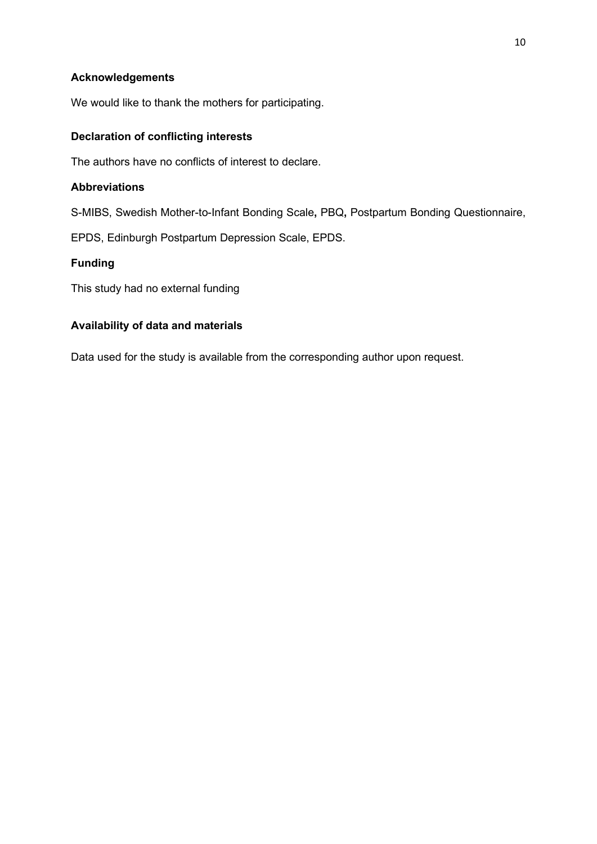## **Acknowledgements**

We would like to thank the mothers for participating.

## **Declaration of conflicting interests**

The authors have no conflicts of interest to declare.

## **Abbreviations**

S-MIBS, Swedish Mother-to-Infant Bonding Scale**,** PBQ**,** Postpartum Bonding Questionnaire,

EPDS, Edinburgh Postpartum Depression Scale, EPDS.

## **Funding**

This study had no external funding

## **Availability of data and materials**

Data used for the study is available from the corresponding author upon request.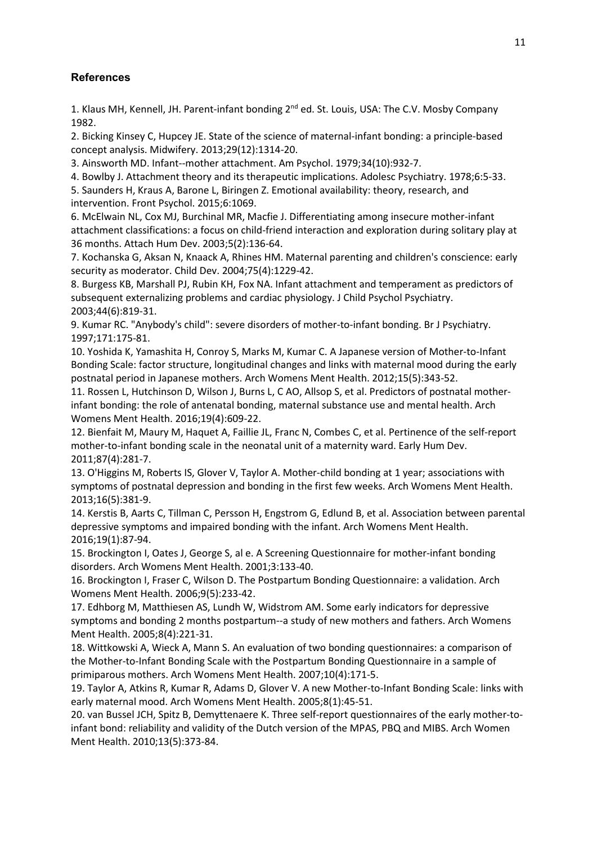## **References**

1. Klaus MH, Kennell, JH. Parent-infant bonding 2<sup>nd</sup> ed. St. Louis, USA: The C.V. Mosby Company 1982.

2. Bicking Kinsey C, Hupcey JE. State of the science of maternal-infant bonding: a principle-based concept analysis. Midwifery. 2013;29(12):1314-20.

3. Ainsworth MD. Infant--mother attachment. Am Psychol. 1979;34(10):932-7.

4. Bowlby J. Attachment theory and its therapeutic implications. Adolesc Psychiatry. 1978;6:5-33.

5. Saunders H, Kraus A, Barone L, Biringen Z. Emotional availability: theory, research, and intervention. Front Psychol. 2015;6:1069.

6. McElwain NL, Cox MJ, Burchinal MR, Macfie J. Differentiating among insecure mother-infant attachment classifications: a focus on child-friend interaction and exploration during solitary play at 36 months. Attach Hum Dev. 2003;5(2):136-64.

7. Kochanska G, Aksan N, Knaack A, Rhines HM. Maternal parenting and children's conscience: early security as moderator. Child Dev. 2004;75(4):1229-42.

8. Burgess KB, Marshall PJ, Rubin KH, Fox NA. Infant attachment and temperament as predictors of subsequent externalizing problems and cardiac physiology. J Child Psychol Psychiatry. 2003;44(6):819-31.

9. Kumar RC. "Anybody's child": severe disorders of mother-to-infant bonding. Br J Psychiatry. 1997;171:175-81.

10. Yoshida K, Yamashita H, Conroy S, Marks M, Kumar C. A Japanese version of Mother-to-Infant Bonding Scale: factor structure, longitudinal changes and links with maternal mood during the early postnatal period in Japanese mothers. Arch Womens Ment Health. 2012;15(5):343-52.

11. Rossen L, Hutchinson D, Wilson J, Burns L, C AO, Allsop S, et al. Predictors of postnatal motherinfant bonding: the role of antenatal bonding, maternal substance use and mental health. Arch Womens Ment Health. 2016;19(4):609-22.

12. Bienfait M, Maury M, Haquet A, Faillie JL, Franc N, Combes C, et al. Pertinence of the self-report mother-to-infant bonding scale in the neonatal unit of a maternity ward. Early Hum Dev. 2011;87(4):281-7.

13. O'Higgins M, Roberts IS, Glover V, Taylor A. Mother-child bonding at 1 year; associations with symptoms of postnatal depression and bonding in the first few weeks. Arch Womens Ment Health. 2013;16(5):381-9.

14. Kerstis B, Aarts C, Tillman C, Persson H, Engstrom G, Edlund B, et al. Association between parental depressive symptoms and impaired bonding with the infant. Arch Womens Ment Health. 2016;19(1):87-94.

15. Brockington I, Oates J, George S, al e. A Screening Questionnaire for mother-infant bonding disorders. Arch Womens Ment Health. 2001;3:133-40.

16. Brockington I, Fraser C, Wilson D. The Postpartum Bonding Questionnaire: a validation. Arch Womens Ment Health. 2006;9(5):233-42.

17. Edhborg M, Matthiesen AS, Lundh W, Widstrom AM. Some early indicators for depressive symptoms and bonding 2 months postpartum--a study of new mothers and fathers. Arch Womens Ment Health. 2005;8(4):221-31.

18. Wittkowski A, Wieck A, Mann S. An evaluation of two bonding questionnaires: a comparison of the Mother-to-Infant Bonding Scale with the Postpartum Bonding Questionnaire in a sample of primiparous mothers. Arch Womens Ment Health. 2007;10(4):171-5.

19. Taylor A, Atkins R, Kumar R, Adams D, Glover V. A new Mother-to-Infant Bonding Scale: links with early maternal mood. Arch Womens Ment Health. 2005;8(1):45-51.

20. van Bussel JCH, Spitz B, Demyttenaere K. Three self-report questionnaires of the early mother-toinfant bond: reliability and validity of the Dutch version of the MPAS, PBQ and MIBS. Arch Women Ment Health. 2010;13(5):373-84.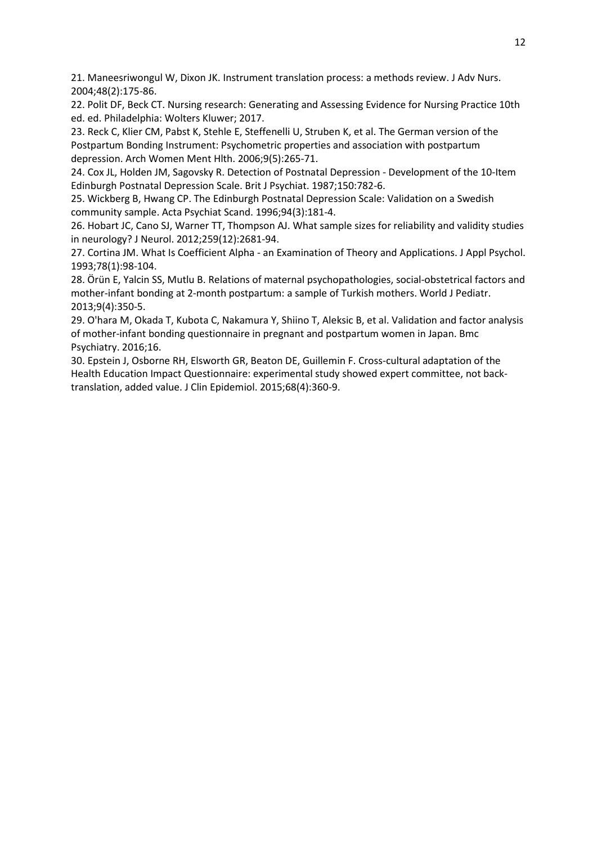21. Maneesriwongul W, Dixon JK. Instrument translation process: a methods review. J Adv Nurs. 2004;48(2):175-86.

22. Polit DF, Beck CT. Nursing research: Generating and Assessing Evidence for Nursing Practice 10th ed. ed. Philadelphia: Wolters Kluwer; 2017.

23. Reck C, Klier CM, Pabst K, Stehle E, Steffenelli U, Struben K, et al. The German version of the Postpartum Bonding Instrument: Psychometric properties and association with postpartum depression. Arch Women Ment Hlth. 2006;9(5):265-71.

24. Cox JL, Holden JM, Sagovsky R. Detection of Postnatal Depression - Development of the 10-Item Edinburgh Postnatal Depression Scale. Brit J Psychiat. 1987;150:782-6.

25. Wickberg B, Hwang CP. The Edinburgh Postnatal Depression Scale: Validation on a Swedish community sample. Acta Psychiat Scand. 1996;94(3):181-4.

26. Hobart JC, Cano SJ, Warner TT, Thompson AJ. What sample sizes for reliability and validity studies in neurology? J Neurol. 2012;259(12):2681-94.

27. Cortina JM. What Is Coefficient Alpha - an Examination of Theory and Applications. J Appl Psychol. 1993;78(1):98-104.

28. Örün E, Yalcin SS, Mutlu B. Relations of maternal psychopathologies, social-obstetrical factors and mother-infant bonding at 2-month postpartum: a sample of Turkish mothers. World J Pediatr. 2013;9(4):350-5.

29. O'hara M, Okada T, Kubota C, Nakamura Y, Shiino T, Aleksic B, et al. Validation and factor analysis of mother-infant bonding questionnaire in pregnant and postpartum women in Japan. Bmc Psychiatry. 2016;16.

30. Epstein J, Osborne RH, Elsworth GR, Beaton DE, Guillemin F. Cross-cultural adaptation of the Health Education Impact Questionnaire: experimental study showed expert committee, not backtranslation, added value. J Clin Epidemiol. 2015;68(4):360-9.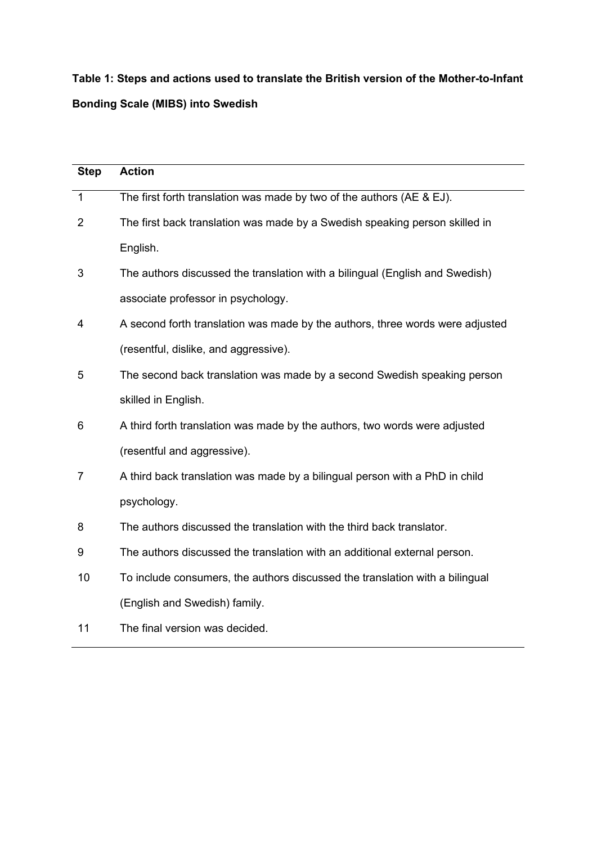**Table 1: Steps and actions used to translate the British version of the Mother-to-Infant Bonding Scale (MIBS) into Swedish**

| <b>Step</b>    | <b>Action</b>                                                                 |
|----------------|-------------------------------------------------------------------------------|
| $\mathbf 1$    | The first forth translation was made by two of the authors (AE & EJ).         |
| 2              | The first back translation was made by a Swedish speaking person skilled in   |
|                | English.                                                                      |
| 3              | The authors discussed the translation with a bilingual (English and Swedish)  |
|                | associate professor in psychology.                                            |
| 4              | A second forth translation was made by the authors, three words were adjusted |
|                | (resentful, dislike, and aggressive).                                         |
| 5              | The second back translation was made by a second Swedish speaking person      |
|                | skilled in English.                                                           |
| 6              | A third forth translation was made by the authors, two words were adjusted    |
|                | (resentful and aggressive).                                                   |
| $\overline{7}$ | A third back translation was made by a bilingual person with a PhD in child   |
|                | psychology.                                                                   |
| 8              | The authors discussed the translation with the third back translator.         |
| 9              | The authors discussed the translation with an additional external person.     |
| 10             | To include consumers, the authors discussed the translation with a bilingual  |
|                | (English and Swedish) family.                                                 |
| 11             | The final version was decided.                                                |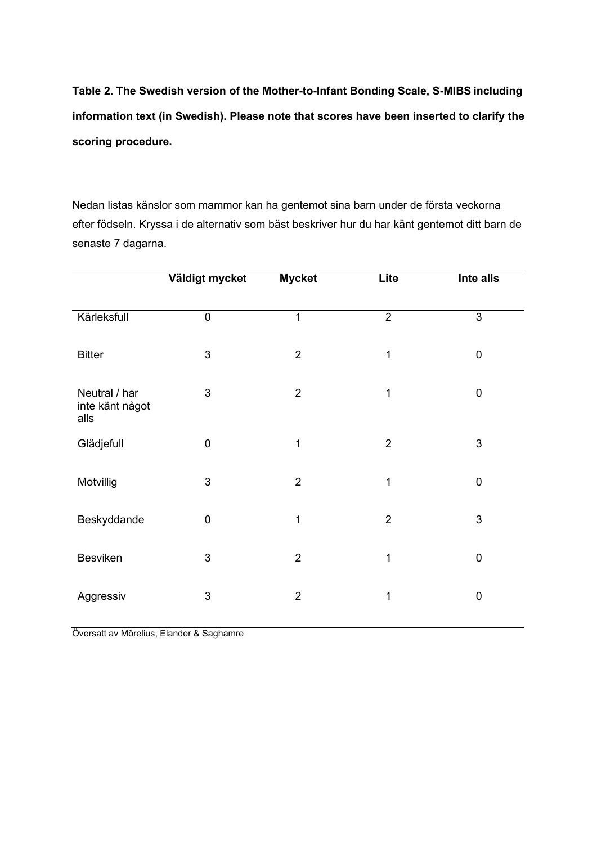**Table 2. The Swedish version of the Mother-to-Infant Bonding Scale, S-MIBS including information text (in Swedish). Please note that scores have been inserted to clarify the scoring procedure.**

Nedan listas känslor som mammor kan ha gentemot sina barn under de första veckorna efter födseln. Kryssa i de alternativ som bäst beskriver hur du har känt gentemot ditt barn de senaste 7 dagarna.

|                                          | Väldigt mycket   | <b>Mycket</b>  | Lite           | Inte alls        |
|------------------------------------------|------------------|----------------|----------------|------------------|
|                                          |                  |                |                |                  |
| Kärleksfull                              | $\pmb{0}$        | $\mathbf{1}$   | $\overline{2}$ | 3                |
| <b>Bitter</b>                            | 3                | $\overline{2}$ | 1              | $\boldsymbol{0}$ |
| Neutral / har<br>inte känt något<br>alls | 3                | $\overline{2}$ | 1              | $\boldsymbol{0}$ |
| Glädjefull                               | $\boldsymbol{0}$ | 1              | $\overline{2}$ | 3                |
| Motvillig                                | 3                | $\overline{2}$ | 1              | $\boldsymbol{0}$ |
| Beskyddande                              | $\mathbf 0$      | $\mathbf 1$    | $\overline{2}$ | 3                |
| Besviken                                 | 3                | $\overline{2}$ | 1              | $\pmb{0}$        |
| Aggressiv                                | 3                | $\overline{2}$ | 1              | $\boldsymbol{0}$ |

Översatt av Mörelius, Elander & Saghamre